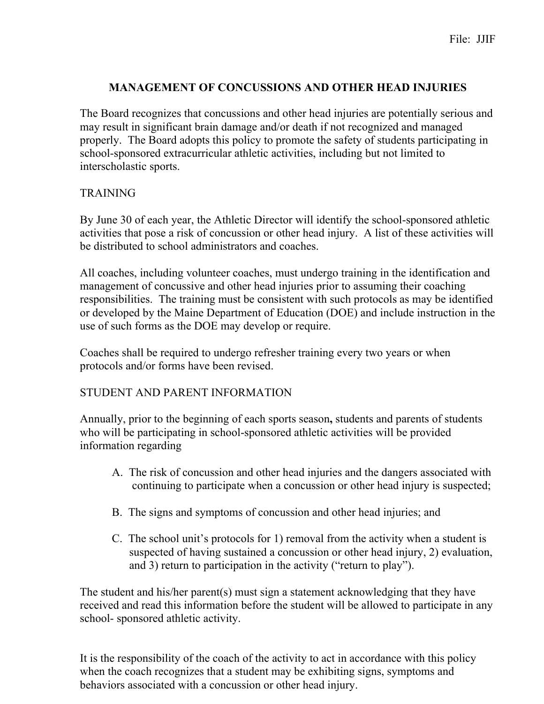## **MANAGEMENT OF CONCUSSIONS AND OTHER HEAD INJURIES**

The Board recognizes that concussions and other head injuries are potentially serious and may result in significant brain damage and/or death if not recognized and managed properly. The Board adopts this policy to promote the safety of students participating in school-sponsored extracurricular athletic activities, including but not limited to interscholastic sports.

## **TRAINING**

By June 30 of each year, the Athletic Director will identify the school-sponsored athletic activities that pose a risk of concussion or other head injury. A list of these activities will be distributed to school administrators and coaches.

All coaches, including volunteer coaches, must undergo training in the identification and management of concussive and other head injuries prior to assuming their coaching responsibilities. The training must be consistent with such protocols as may be identified or developed by the Maine Department of Education (DOE) and include instruction in the use of such forms as the DOE may develop or require.

Coaches shall be required to undergo refresher training every two years or when protocols and/or forms have been revised.

# STUDENT AND PARENT INFORMATION

Annually, prior to the beginning of each sports season**,** students and parents of students who will be participating in school-sponsored athletic activities will be provided information regarding

- A. The risk of concussion and other head injuries and the dangers associated with continuing to participate when a concussion or other head injury is suspected;
- B. The signs and symptoms of concussion and other head injuries; and
- C. The school unit's protocols for 1) removal from the activity when a student is suspected of having sustained a concussion or other head injury, 2) evaluation, and 3) return to participation in the activity ("return to play").

The student and his/her parent(s) must sign a statement acknowledging that they have received and read this information before the student will be allowed to participate in any school- sponsored athletic activity.

It is the responsibility of the coach of the activity to act in accordance with this policy when the coach recognizes that a student may be exhibiting signs, symptoms and behaviors associated with a concussion or other head injury.